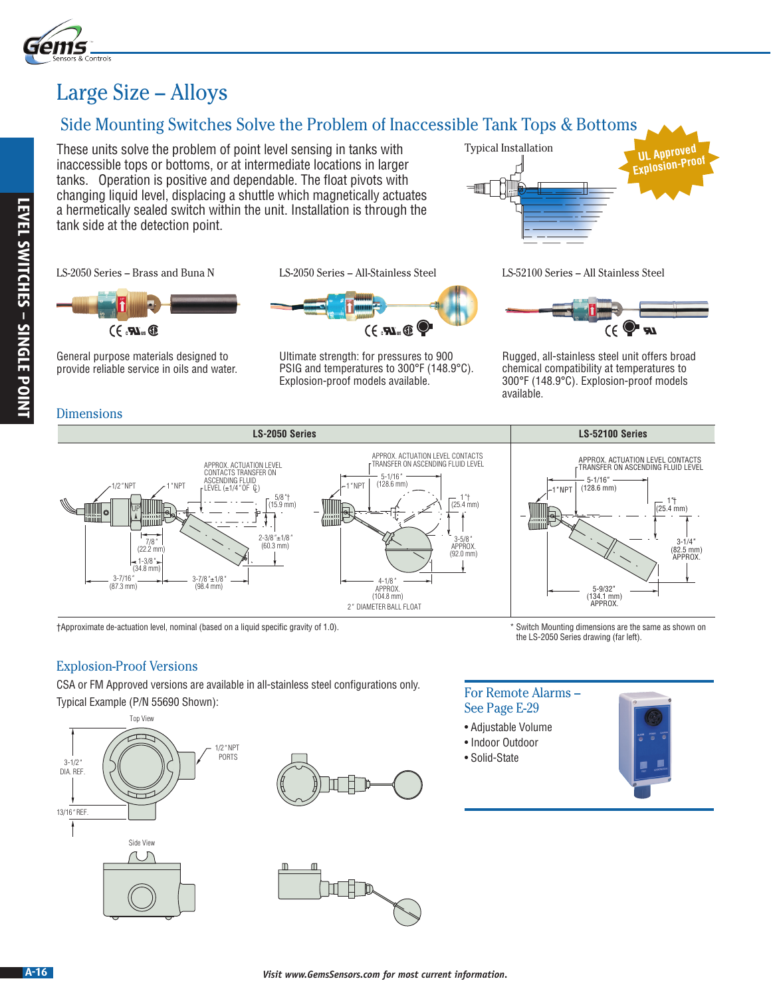

### Large Size – Alloys

### Side Mounting Switches Solve the Problem of Inaccessible Tank Tops & Bottoms

These units solve the problem of point level sensing in tanks with inaccessible tops or bottoms, or at intermediate locations in larger tanks. Operation is positive and dependable. The float pivots with changing liquid level, displacing a shuttle which magnetically actuates a hermetically sealed switch within the unit. Installation is through the tank side at the detection point.

LS-2050 Series – Brass and Buna N LS-2050 Series – All-Stainless Steel LS-52100 Series – All Stainless Steel



General purpose materials designed to provide reliable service in oils and water.

**Dimensions** 





Ultimate strength: for pressures to 900 PSIG and temperatures to 300°F (148.9°C). Explosion-proof models available.





Rugged, all-stainless steel unit offers broad chemical compatibility at temperatures to 300°F (148.9°C). Explosion-proof models available.



### Explosion-Proof Versions

CSA or FM Approved versions are available in all-stainless steel configurations only.  $T_{\text{total}}$  Example (P/N 55690 Shown): For Remote Alarms – For Remote Alarms – For Remote Alarms – For Remote Alarms –







## See Page E-29

the LS-2050 Series drawing (far left).

- Adjustable Volume
- Indoor Outdoor
- Solid-State



# † Approximate de-actuation level, nominal (based on a liquid specific gravity of 1.0). \* Switch Mounting dimensions are the same as shown on